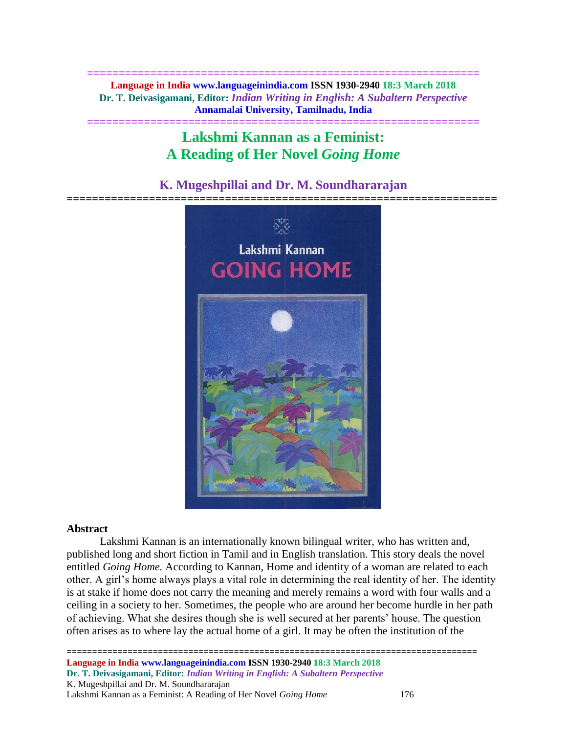**============================================================== Language in India www.languageinindia.com ISSN 1930-2940 18:3 March 2018 Dr. T. Deivasigamani, Editor:** *Indian Writing in English: A Subaltern Perspective* **Annamalai University, Tamilnadu, India**

**==============================================================**

# **Lakshmi Kannan as a Feminist: A Reading of Her Novel** *Going Home*

# **K. Mugeshpillai and Dr. M. Soundhararajan**



#### **Abstract**

Lakshmi Kannan is an internationally known bilingual writer, who has written and, published long and short fiction in Tamil and in English translation. This story deals the novel entitled *Going Home.* According to Kannan, Home and identity of a woman are related to each other. A girl's home always plays a vital role in determining the real identity of her. The identity is at stake if home does not carry the meaning and merely remains a word with four walls and a ceiling in a society to her. Sometimes, the people who are around her become hurdle in her path of achieving. What she desires though she is well secured at her parents' house. The question often arises as to where lay the actual home of a girl. It may be often the institution of the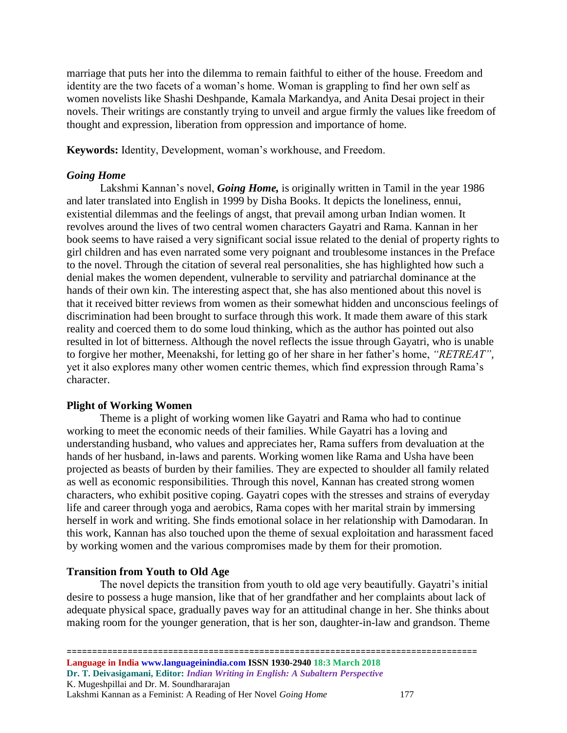marriage that puts her into the dilemma to remain faithful to either of the house. Freedom and identity are the two facets of a woman's home. Woman is grappling to find her own self as women novelists like Shashi Deshpande, Kamala Markandya, and Anita Desai project in their novels. Their writings are constantly trying to unveil and argue firmly the values like freedom of thought and expression, liberation from oppression and importance of home.

**Keywords:** Identity, Development, woman's workhouse, and Freedom.

## *Going Home*

Lakshmi Kannan's novel, *Going Home,* is originally written in Tamil in the year 1986 and later translated into English in 1999 by Disha Books. It depicts the loneliness, ennui, existential dilemmas and the feelings of angst, that prevail among urban Indian women. It revolves around the lives of two central women characters Gayatri and Rama. Kannan in her book seems to have raised a very significant social issue related to the denial of property rights to girl children and has even narrated some very poignant and troublesome instances in the Preface to the novel. Through the citation of several real personalities, she has highlighted how such a denial makes the women dependent, vulnerable to servility and patriarchal dominance at the hands of their own kin. The interesting aspect that, she has also mentioned about this novel is that it received bitter reviews from women as their somewhat hidden and unconscious feelings of discrimination had been brought to surface through this work. It made them aware of this stark reality and coerced them to do some loud thinking, which as the author has pointed out also resulted in lot of bitterness. Although the novel reflects the issue through Gayatri, who is unable to forgive her mother, Meenakshi, for letting go of her share in her father's home, *"RETREAT"*, yet it also explores many other women centric themes, which find expression through Rama's character.

# **Plight of Working Women**

Theme is a plight of working women like Gayatri and Rama who had to continue working to meet the economic needs of their families. While Gayatri has a loving and understanding husband, who values and appreciates her, Rama suffers from devaluation at the hands of her husband, in-laws and parents. Working women like Rama and Usha have been projected as beasts of burden by their families. They are expected to shoulder all family related as well as economic responsibilities. Through this novel, Kannan has created strong women characters, who exhibit positive coping. Gayatri copes with the stresses and strains of everyday life and career through yoga and aerobics, Rama copes with her marital strain by immersing herself in work and writing. She finds emotional solace in her relationship with Damodaran. In this work, Kannan has also touched upon the theme of sexual exploitation and harassment faced by working women and the various compromises made by them for their promotion.

# **Transition from Youth to Old Age**

The novel depicts the transition from youth to old age very beautifully. Gayatri's initial desire to possess a huge mansion, like that of her grandfather and her complaints about lack of adequate physical space, gradually paves way for an attitudinal change in her. She thinks about making room for the younger generation, that is her son, daughter-in-law and grandson. Theme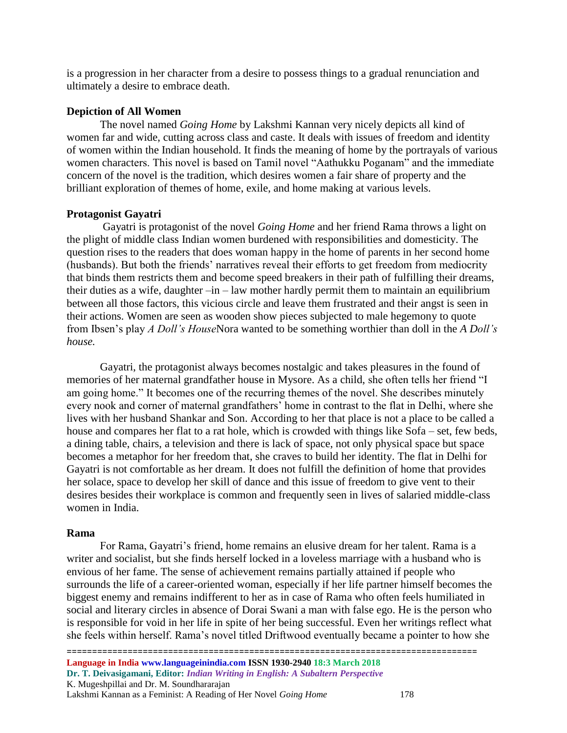is a progression in her character from a desire to possess things to a gradual renunciation and ultimately a desire to embrace death.

#### **Depiction of All Women**

The novel named *Going Home* by Lakshmi Kannan very nicely depicts all kind of women far and wide, cutting across class and caste. It deals with issues of freedom and identity of women within the Indian household. It finds the meaning of home by the portrayals of various women characters. This novel is based on Tamil novel "Aathukku Poganam" and the immediate concern of the novel is the tradition, which desires women a fair share of property and the brilliant exploration of themes of home, exile, and home making at various levels.

#### **Protagonist Gayatri**

Gayatri is protagonist of the novel *Going Home* and her friend Rama throws a light on the plight of middle class Indian women burdened with responsibilities and domesticity. The question rises to the readers that does woman happy in the home of parents in her second home (husbands). But both the friends' narratives reveal their efforts to get freedom from mediocrity that binds them restricts them and become speed breakers in their path of fulfilling their dreams, their duties as a wife, daughter –in – law mother hardly permit them to maintain an equilibrium between all those factors, this vicious circle and leave them frustrated and their angst is seen in their actions. Women are seen as wooden show pieces subjected to male hegemony to quote from Ibsen's play *A Doll's House*Nora wanted to be something worthier than doll in the *A Doll's house.*

Gayatri, the protagonist always becomes nostalgic and takes pleasures in the found of memories of her maternal grandfather house in Mysore. As a child, she often tells her friend "I am going home." It becomes one of the recurring themes of the novel. She describes minutely every nook and corner of maternal grandfathers' home in contrast to the flat in Delhi, where she lives with her husband Shankar and Son. According to her that place is not a place to be called a house and compares her flat to a rat hole, which is crowded with things like Sofa – set, few beds, a dining table, chairs, a television and there is lack of space, not only physical space but space becomes a metaphor for her freedom that, she craves to build her identity. The flat in Delhi for Gayatri is not comfortable as her dream. It does not fulfill the definition of home that provides her solace, space to develop her skill of dance and this issue of freedom to give vent to their desires besides their workplace is common and frequently seen in lives of salaried middle-class women in India.

#### **Rama**

For Rama, Gayatri's friend, home remains an elusive dream for her talent. Rama is a writer and socialist, but she finds herself locked in a loveless marriage with a husband who is envious of her fame. The sense of achievement remains partially attained if people who surrounds the life of a career-oriented woman, especially if her life partner himself becomes the biggest enemy and remains indifferent to her as in case of Rama who often feels humiliated in social and literary circles in absence of Dorai Swani a man with false ego. He is the person who is responsible for void in her life in spite of her being successful. Even her writings reflect what she feels within herself. Rama's novel titled Driftwood eventually became a pointer to how she